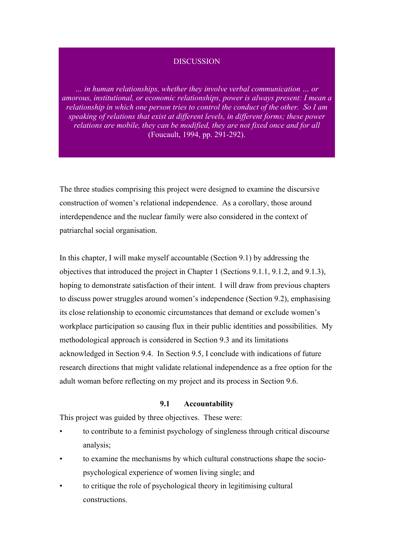## **DISCUSSION**

*… in human relationships, whether they involve verbal communication … or amorous, institutional, or economic relationships, power is always present: I mean a relationship in which one person tries to control the conduct of the other. So I am speaking of relations that exist at different levels, in different forms; these power relations are mobile, they can be modified, they are not fixed once and for all*  (Foucault, 1994, pp. 291-292).

The three studies comprising this project were designed to examine the discursive construction of women's relational independence. As a corollary, those around interdependence and the nuclear family were also considered in the context of patriarchal social organisation.

In this chapter, I will make myself accountable (Section 9.1) by addressing the objectives that introduced the project in Chapter 1 (Sections 9.1.1, 9.1.2, and 9.1.3), hoping to demonstrate satisfaction of their intent. I will draw from previous chapters to discuss power struggles around women's independence (Section 9.2), emphasising its close relationship to economic circumstances that demand or exclude women's workplace participation so causing flux in their public identities and possibilities. My methodological approach is considered in Section 9.3 and its limitations acknowledged in Section 9.4. In Section 9.5, I conclude with indications of future research directions that might validate relational independence as a free option for the adult woman before reflecting on my project and its process in Section 9.6.

#### **9.1 Accountability**

This project was guided by three objectives. These were:

- to contribute to a feminist psychology of singleness through critical discourse analysis;
- to examine the mechanisms by which cultural constructions shape the sociopsychological experience of women living single; and
- to critique the role of psychological theory in legitimising cultural constructions.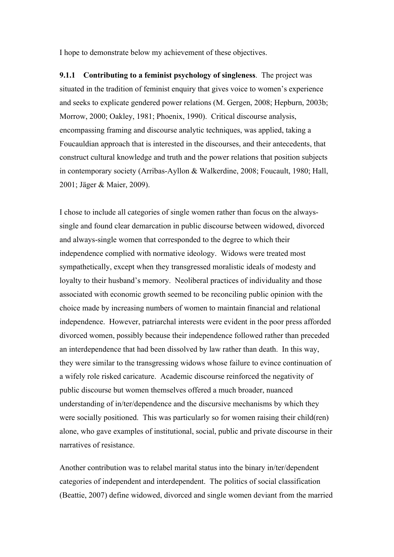I hope to demonstrate below my achievement of these objectives.

**9.1.1 Contributing to a feminist psychology of singleness**. The project was situated in the tradition of feminist enquiry that gives voice to women's experience and seeks to explicate gendered power relations (M. Gergen, 2008; Hepburn, 2003b; Morrow, 2000; Oakley, 1981; Phoenix, 1990). Critical discourse analysis, encompassing framing and discourse analytic techniques, was applied, taking a Foucauldian approach that is interested in the discourses, and their antecedents, that construct cultural knowledge and truth and the power relations that position subjects in contemporary society (Arribas-Ayllon & Walkerdine, 2008; Foucault, 1980; Hall, 2001; Jäger & Maier, 2009).

I chose to include all categories of single women rather than focus on the alwayssingle and found clear demarcation in public discourse between widowed, divorced and always-single women that corresponded to the degree to which their independence complied with normative ideology. Widows were treated most sympathetically, except when they transgressed moralistic ideals of modesty and loyalty to their husband's memory. Neoliberal practices of individuality and those associated with economic growth seemed to be reconciling public opinion with the choice made by increasing numbers of women to maintain financial and relational independence. However, patriarchal interests were evident in the poor press afforded divorced women, possibly because their independence followed rather than preceded an interdependence that had been dissolved by law rather than death. In this way, they were similar to the transgressing widows whose failure to evince continuation of a wifely role risked caricature. Academic discourse reinforced the negativity of public discourse but women themselves offered a much broader, nuanced understanding of in/ter/dependence and the discursive mechanisms by which they were socially positioned. This was particularly so for women raising their child(ren) alone, who gave examples of institutional, social, public and private discourse in their narratives of resistance.

Another contribution was to relabel marital status into the binary in/ter/dependent categories of independent and interdependent. The politics of social classification (Beattie, 2007) define widowed, divorced and single women deviant from the married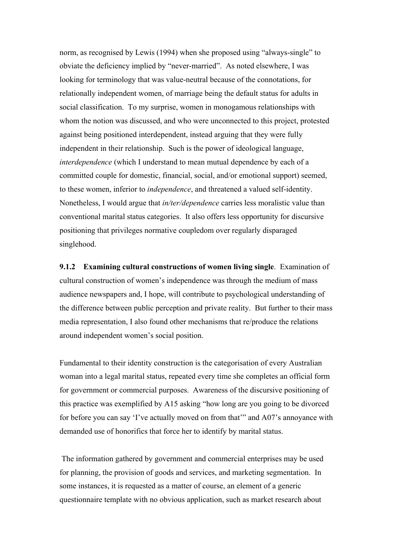norm, as recognised by Lewis (1994) when she proposed using "always-single" to obviate the deficiency implied by "never-married". As noted elsewhere, I was looking for terminology that was value-neutral because of the connotations, for relationally independent women, of marriage being the default status for adults in social classification. To my surprise, women in monogamous relationships with whom the notion was discussed, and who were unconnected to this project, protested against being positioned interdependent, instead arguing that they were fully independent in their relationship. Such is the power of ideological language, *interdependence* (which I understand to mean mutual dependence by each of a committed couple for domestic, financial, social, and/or emotional support) seemed, to these women, inferior to *independence*, and threatened a valued self-identity. Nonetheless, I would argue that *in/ter/dependence* carries less moralistic value than conventional marital status categories. It also offers less opportunity for discursive positioning that privileges normative coupledom over regularly disparaged singlehood.

**9.1.2 Examining cultural constructions of women living single**. Examination of cultural construction of women's independence was through the medium of mass audience newspapers and, I hope, will contribute to psychological understanding of the difference between public perception and private reality. But further to their mass media representation, I also found other mechanisms that re/produce the relations around independent women's social position.

Fundamental to their identity construction is the categorisation of every Australian woman into a legal marital status, repeated every time she completes an official form for government or commercial purposes. Awareness of the discursive positioning of this practice was exemplified by A15 asking "how long are you going to be divorced for before you can say 'I've actually moved on from that'" and A07's annoyance with demanded use of honorifics that force her to identify by marital status.

The information gathered by government and commercial enterprises may be used for planning, the provision of goods and services, and marketing segmentation. In some instances, it is requested as a matter of course, an element of a generic questionnaire template with no obvious application, such as market research about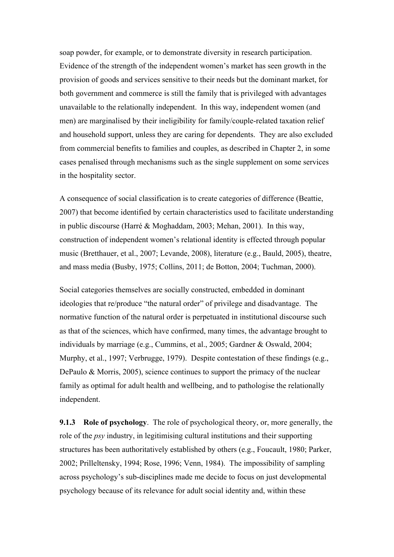soap powder, for example, or to demonstrate diversity in research participation. Evidence of the strength of the independent women's market has seen growth in the provision of goods and services sensitive to their needs but the dominant market, for both government and commerce is still the family that is privileged with advantages unavailable to the relationally independent. In this way, independent women (and men) are marginalised by their ineligibility for family/couple-related taxation relief and household support, unless they are caring for dependents. They are also excluded from commercial benefits to families and couples, as described in Chapter 2, in some cases penalised through mechanisms such as the single supplement on some services in the hospitality sector.

A consequence of social classification is to create categories of difference (Beattie, 2007) that become identified by certain characteristics used to facilitate understanding in public discourse (Harré & Moghaddam, 2003; Mehan, 2001). In this way, construction of independent women's relational identity is effected through popular music (Bretthauer, et al., 2007; Levande, 2008), literature (e.g., Bauld, 2005), theatre, and mass media (Busby, 1975; Collins, 2011; de Botton, 2004; Tuchman, 2000).

Social categories themselves are socially constructed, embedded in dominant ideologies that re/produce "the natural order" of privilege and disadvantage. The normative function of the natural order is perpetuated in institutional discourse such as that of the sciences, which have confirmed, many times, the advantage brought to individuals by marriage (e.g., Cummins, et al., 2005; Gardner & Oswald, 2004; Murphy, et al., 1997; Verbrugge, 1979). Despite contestation of these findings (e.g., DePaulo & Morris, 2005), science continues to support the primacy of the nuclear family as optimal for adult health and wellbeing, and to pathologise the relationally independent.

**9.1.3 Role of psychology**. The role of psychological theory, or, more generally, the role of the *psy* industry, in legitimising cultural institutions and their supporting structures has been authoritatively established by others (e.g., Foucault, 1980; Parker, 2002; Prilleltensky, 1994; Rose, 1996; Venn, 1984). The impossibility of sampling across psychology's sub-disciplines made me decide to focus on just developmental psychology because of its relevance for adult social identity and, within these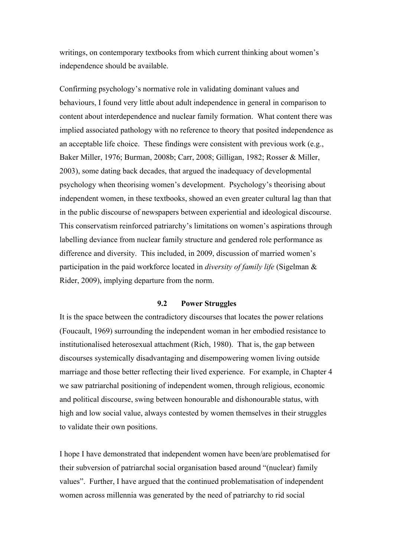writings, on contemporary textbooks from which current thinking about women's independence should be available.

Confirming psychology's normative role in validating dominant values and behaviours, I found very little about adult independence in general in comparison to content about interdependence and nuclear family formation. What content there was implied associated pathology with no reference to theory that posited independence as an acceptable life choice. These findings were consistent with previous work (e.g., Baker Miller, 1976; Burman, 2008b; Carr, 2008; Gilligan, 1982; Rosser & Miller, 2003), some dating back decades, that argued the inadequacy of developmental psychology when theorising women's development. Psychology's theorising about independent women, in these textbooks, showed an even greater cultural lag than that in the public discourse of newspapers between experiential and ideological discourse. This conservatism reinforced patriarchy's limitations on women's aspirations through labelling deviance from nuclear family structure and gendered role performance as difference and diversity. This included, in 2009, discussion of married women's participation in the paid workforce located in *diversity of family life* (Sigelman & Rider, 2009), implying departure from the norm.

# **9.2 Power Struggles**

It is the space between the contradictory discourses that locates the power relations (Foucault, 1969) surrounding the independent woman in her embodied resistance to institutionalised heterosexual attachment (Rich, 1980). That is, the gap between discourses systemically disadvantaging and disempowering women living outside marriage and those better reflecting their lived experience. For example, in Chapter 4 we saw patriarchal positioning of independent women, through religious, economic and political discourse, swing between honourable and dishonourable status, with high and low social value, always contested by women themselves in their struggles to validate their own positions.

I hope I have demonstrated that independent women have been/are problematised for their subversion of patriarchal social organisation based around "(nuclear) family values". Further, I have argued that the continued problematisation of independent women across millennia was generated by the need of patriarchy to rid social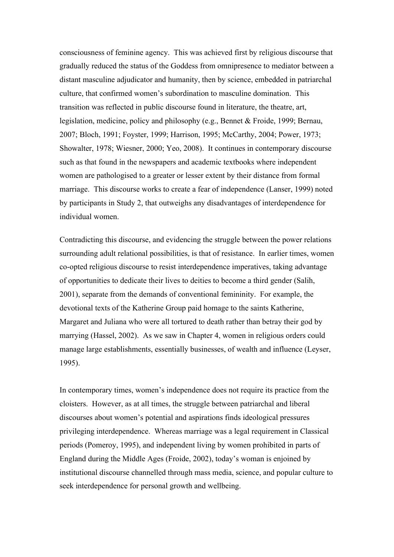consciousness of feminine agency. This was achieved first by religious discourse that gradually reduced the status of the Goddess from omnipresence to mediator between a distant masculine adjudicator and humanity, then by science, embedded in patriarchal culture, that confirmed women's subordination to masculine domination. This transition was reflected in public discourse found in literature, the theatre, art, legislation, medicine, policy and philosophy (e.g., Bennet & Froide, 1999; Bernau, 2007; Bloch, 1991; Foyster, 1999; Harrison, 1995; McCarthy, 2004; Power, 1973; Showalter, 1978; Wiesner, 2000; Yeo, 2008). It continues in contemporary discourse such as that found in the newspapers and academic textbooks where independent women are pathologised to a greater or lesser extent by their distance from formal marriage. This discourse works to create a fear of independence (Lanser, 1999) noted by participants in Study 2, that outweighs any disadvantages of interdependence for individual women.

Contradicting this discourse, and evidencing the struggle between the power relations surrounding adult relational possibilities, is that of resistance. In earlier times, women co-opted religious discourse to resist interdependence imperatives, taking advantage of opportunities to dedicate their lives to deities to become a third gender (Salih, 2001), separate from the demands of conventional femininity. For example, the devotional texts of the Katherine Group paid homage to the saints Katherine, Margaret and Juliana who were all tortured to death rather than betray their god by marrying (Hassel, 2002). As we saw in Chapter 4, women in religious orders could manage large establishments, essentially businesses, of wealth and influence (Leyser, 1995).

In contemporary times, women's independence does not require its practice from the cloisters. However, as at all times, the struggle between patriarchal and liberal discourses about women's potential and aspirations finds ideological pressures privileging interdependence. Whereas marriage was a legal requirement in Classical periods (Pomeroy, 1995), and independent living by women prohibited in parts of England during the Middle Ages (Froide, 2002), today's woman is enjoined by institutional discourse channelled through mass media, science, and popular culture to seek interdependence for personal growth and wellbeing.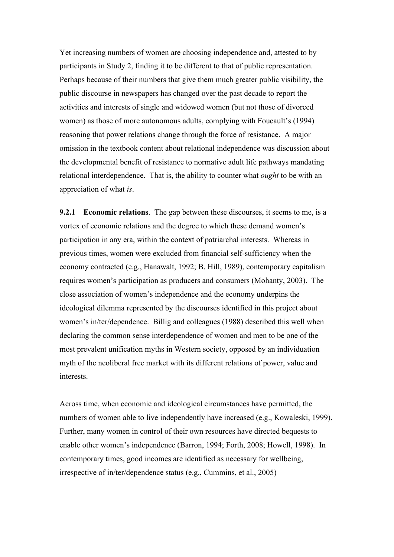Yet increasing numbers of women are choosing independence and, attested to by participants in Study 2, finding it to be different to that of public representation. Perhaps because of their numbers that give them much greater public visibility, the public discourse in newspapers has changed over the past decade to report the activities and interests of single and widowed women (but not those of divorced women) as those of more autonomous adults, complying with Foucault's (1994) reasoning that power relations change through the force of resistance. A major omission in the textbook content about relational independence was discussion about the developmental benefit of resistance to normative adult life pathways mandating relational interdependence. That is, the ability to counter what *ought* to be with an appreciation of what *is*.

**9.2.1 Economic relations**. The gap between these discourses, it seems to me, is a vortex of economic relations and the degree to which these demand women's participation in any era, within the context of patriarchal interests. Whereas in previous times, women were excluded from financial self-sufficiency when the economy contracted (e.g., Hanawalt, 1992; B. Hill, 1989), contemporary capitalism requires women's participation as producers and consumers (Mohanty, 2003). The close association of women's independence and the economy underpins the ideological dilemma represented by the discourses identified in this project about women's in/ter/dependence. Billig and colleagues (1988) described this well when declaring the common sense interdependence of women and men to be one of the most prevalent unification myths in Western society, opposed by an individuation myth of the neoliberal free market with its different relations of power, value and interests.

Across time, when economic and ideological circumstances have permitted, the numbers of women able to live independently have increased (e.g., Kowaleski, 1999). Further, many women in control of their own resources have directed bequests to enable other women's independence (Barron, 1994; Forth, 2008; Howell, 1998). In contemporary times, good incomes are identified as necessary for wellbeing, irrespective of in/ter/dependence status (e.g., Cummins, et al., 2005)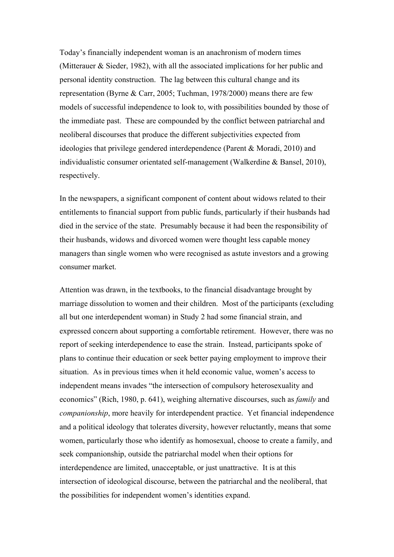Today's financially independent woman is an anachronism of modern times (Mitterauer & Sieder, 1982), with all the associated implications for her public and personal identity construction. The lag between this cultural change and its representation (Byrne & Carr, 2005; Tuchman, 1978/2000) means there are few models of successful independence to look to, with possibilities bounded by those of the immediate past. These are compounded by the conflict between patriarchal and neoliberal discourses that produce the different subjectivities expected from ideologies that privilege gendered interdependence (Parent & Moradi, 2010) and individualistic consumer orientated self-management (Walkerdine & Bansel, 2010), respectively.

In the newspapers, a significant component of content about widows related to their entitlements to financial support from public funds, particularly if their husbands had died in the service of the state. Presumably because it had been the responsibility of their husbands, widows and divorced women were thought less capable money managers than single women who were recognised as astute investors and a growing consumer market.

Attention was drawn, in the textbooks, to the financial disadvantage brought by marriage dissolution to women and their children. Most of the participants (excluding all but one interdependent woman) in Study 2 had some financial strain, and expressed concern about supporting a comfortable retirement. However, there was no report of seeking interdependence to ease the strain. Instead, participants spoke of plans to continue their education or seek better paying employment to improve their situation. As in previous times when it held economic value, women's access to independent means invades "the intersection of compulsory heterosexuality and economics" (Rich, 1980, p. 641), weighing alternative discourses, such as *family* and *companionship*, more heavily for interdependent practice. Yet financial independence and a political ideology that tolerates diversity, however reluctantly, means that some women, particularly those who identify as homosexual, choose to create a family, and seek companionship, outside the patriarchal model when their options for interdependence are limited, unacceptable, or just unattractive. It is at this intersection of ideological discourse, between the patriarchal and the neoliberal, that the possibilities for independent women's identities expand.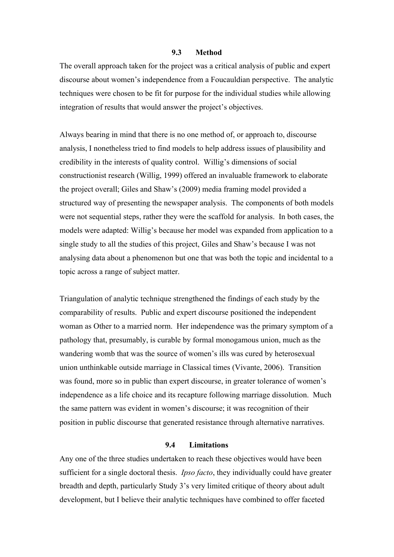#### **9.3 Method**

The overall approach taken for the project was a critical analysis of public and expert discourse about women's independence from a Foucauldian perspective. The analytic techniques were chosen to be fit for purpose for the individual studies while allowing integration of results that would answer the project's objectives.

Always bearing in mind that there is no one method of, or approach to, discourse analysis, I nonetheless tried to find models to help address issues of plausibility and credibility in the interests of quality control. Willig's dimensions of social constructionist research (Willig, 1999) offered an invaluable framework to elaborate the project overall; Giles and Shaw's (2009) media framing model provided a structured way of presenting the newspaper analysis. The components of both models were not sequential steps, rather they were the scaffold for analysis. In both cases, the models were adapted: Willig's because her model was expanded from application to a single study to all the studies of this project, Giles and Shaw's because I was not analysing data about a phenomenon but one that was both the topic and incidental to a topic across a range of subject matter.

Triangulation of analytic technique strengthened the findings of each study by the comparability of results. Public and expert discourse positioned the independent woman as Other to a married norm. Her independence was the primary symptom of a pathology that, presumably, is curable by formal monogamous union, much as the wandering womb that was the source of women's ills was cured by heterosexual union unthinkable outside marriage in Classical times (Vivante, 2006). Transition was found, more so in public than expert discourse, in greater tolerance of women's independence as a life choice and its recapture following marriage dissolution. Much the same pattern was evident in women's discourse; it was recognition of their position in public discourse that generated resistance through alternative narratives.

## **9.4 Limitations**

Any one of the three studies undertaken to reach these objectives would have been sufficient for a single doctoral thesis. *Ipso facto*, they individually could have greater breadth and depth, particularly Study 3's very limited critique of theory about adult development, but I believe their analytic techniques have combined to offer faceted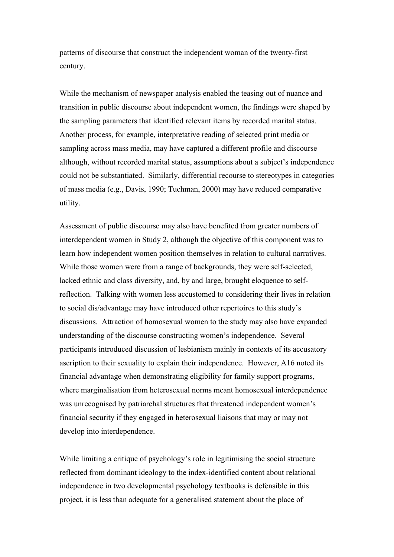patterns of discourse that construct the independent woman of the twenty-first century.

While the mechanism of newspaper analysis enabled the teasing out of nuance and transition in public discourse about independent women, the findings were shaped by the sampling parameters that identified relevant items by recorded marital status. Another process, for example, interpretative reading of selected print media or sampling across mass media, may have captured a different profile and discourse although, without recorded marital status, assumptions about a subject's independence could not be substantiated. Similarly, differential recourse to stereotypes in categories of mass media (e.g., Davis, 1990; Tuchman, 2000) may have reduced comparative utility.

Assessment of public discourse may also have benefited from greater numbers of interdependent women in Study 2, although the objective of this component was to learn how independent women position themselves in relation to cultural narratives. While those women were from a range of backgrounds, they were self-selected, lacked ethnic and class diversity, and, by and large, brought eloquence to selfreflection. Talking with women less accustomed to considering their lives in relation to social dis/advantage may have introduced other repertoires to this study's discussions. Attraction of homosexual women to the study may also have expanded understanding of the discourse constructing women's independence. Several participants introduced discussion of lesbianism mainly in contexts of its accusatory ascription to their sexuality to explain their independence. However, A16 noted its financial advantage when demonstrating eligibility for family support programs, where marginalisation from heterosexual norms meant homosexual interdependence was unrecognised by patriarchal structures that threatened independent women's financial security if they engaged in heterosexual liaisons that may or may not develop into interdependence.

While limiting a critique of psychology's role in legitimising the social structure reflected from dominant ideology to the index-identified content about relational independence in two developmental psychology textbooks is defensible in this project, it is less than adequate for a generalised statement about the place of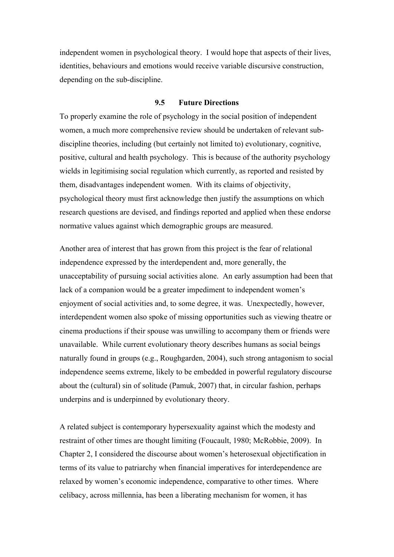independent women in psychological theory. I would hope that aspects of their lives, identities, behaviours and emotions would receive variable discursive construction, depending on the sub-discipline.

## **9.5 Future Directions**

To properly examine the role of psychology in the social position of independent women, a much more comprehensive review should be undertaken of relevant subdiscipline theories, including (but certainly not limited to) evolutionary, cognitive, positive, cultural and health psychology. This is because of the authority psychology wields in legitimising social regulation which currently, as reported and resisted by them, disadvantages independent women. With its claims of objectivity, psychological theory must first acknowledge then justify the assumptions on which research questions are devised, and findings reported and applied when these endorse normative values against which demographic groups are measured.

Another area of interest that has grown from this project is the fear of relational independence expressed by the interdependent and, more generally, the unacceptability of pursuing social activities alone. An early assumption had been that lack of a companion would be a greater impediment to independent women's enjoyment of social activities and, to some degree, it was. Unexpectedly, however, interdependent women also spoke of missing opportunities such as viewing theatre or cinema productions if their spouse was unwilling to accompany them or friends were unavailable. While current evolutionary theory describes humans as social beings naturally found in groups (e.g., Roughgarden, 2004), such strong antagonism to social independence seems extreme, likely to be embedded in powerful regulatory discourse about the (cultural) sin of solitude (Pamuk, 2007) that, in circular fashion, perhaps underpins and is underpinned by evolutionary theory.

A related subject is contemporary hypersexuality against which the modesty and restraint of other times are thought limiting (Foucault, 1980; McRobbie, 2009). In Chapter 2, I considered the discourse about women's heterosexual objectification in terms of its value to patriarchy when financial imperatives for interdependence are relaxed by women's economic independence, comparative to other times. Where celibacy, across millennia, has been a liberating mechanism for women, it has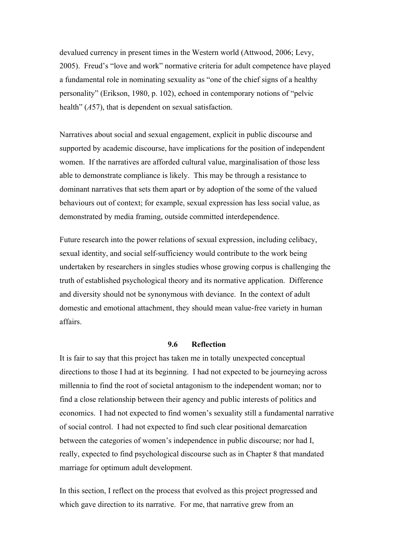devalued currency in present times in the Western world (Attwood, 2006; Levy, 2005). Freud's "love and work" normative criteria for adult competence have played a fundamental role in nominating sexuality as "one of the chief signs of a healthy personality" (Erikson, 1980, p. 102), echoed in contemporary notions of "pelvic health" (*A*57), that is dependent on sexual satisfaction.

Narratives about social and sexual engagement, explicit in public discourse and supported by academic discourse, have implications for the position of independent women. If the narratives are afforded cultural value, marginalisation of those less able to demonstrate compliance is likely. This may be through a resistance to dominant narratives that sets them apart or by adoption of the some of the valued behaviours out of context; for example, sexual expression has less social value, as demonstrated by media framing, outside committed interdependence.

Future research into the power relations of sexual expression, including celibacy, sexual identity, and social self-sufficiency would contribute to the work being undertaken by researchers in singles studies whose growing corpus is challenging the truth of established psychological theory and its normative application. Difference and diversity should not be synonymous with deviance. In the context of adult domestic and emotional attachment, they should mean value-free variety in human affairs.

## **9.6 Reflection**

It is fair to say that this project has taken me in totally unexpected conceptual directions to those I had at its beginning. I had not expected to be journeying across millennia to find the root of societal antagonism to the independent woman; nor to find a close relationship between their agency and public interests of politics and economics. I had not expected to find women's sexuality still a fundamental narrative of social control. I had not expected to find such clear positional demarcation between the categories of women's independence in public discourse; nor had I, really, expected to find psychological discourse such as in Chapter 8 that mandated marriage for optimum adult development.

In this section, I reflect on the process that evolved as this project progressed and which gave direction to its narrative. For me, that narrative grew from an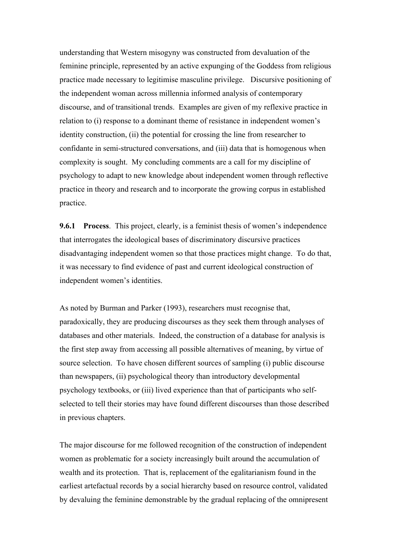understanding that Western misogyny was constructed from devaluation of the feminine principle, represented by an active expunging of the Goddess from religious practice made necessary to legitimise masculine privilege. Discursive positioning of the independent woman across millennia informed analysis of contemporary discourse, and of transitional trends. Examples are given of my reflexive practice in relation to (i) response to a dominant theme of resistance in independent women's identity construction, (ii) the potential for crossing the line from researcher to confidante in semi-structured conversations, and (iii) data that is homogenous when complexity is sought. My concluding comments are a call for my discipline of psychology to adapt to new knowledge about independent women through reflective practice in theory and research and to incorporate the growing corpus in established practice.

**9.6.1 Process**. This project, clearly, is a feminist thesis of women's independence that interrogates the ideological bases of discriminatory discursive practices disadvantaging independent women so that those practices might change. To do that, it was necessary to find evidence of past and current ideological construction of independent women's identities.

As noted by Burman and Parker (1993), researchers must recognise that, paradoxically, they are producing discourses as they seek them through analyses of databases and other materials. Indeed, the construction of a database for analysis is the first step away from accessing all possible alternatives of meaning, by virtue of source selection. To have chosen different sources of sampling (i) public discourse than newspapers, (ii) psychological theory than introductory developmental psychology textbooks, or (iii) lived experience than that of participants who selfselected to tell their stories may have found different discourses than those described in previous chapters.

The major discourse for me followed recognition of the construction of independent women as problematic for a society increasingly built around the accumulation of wealth and its protection. That is, replacement of the egalitarianism found in the earliest artefactual records by a social hierarchy based on resource control, validated by devaluing the feminine demonstrable by the gradual replacing of the omnipresent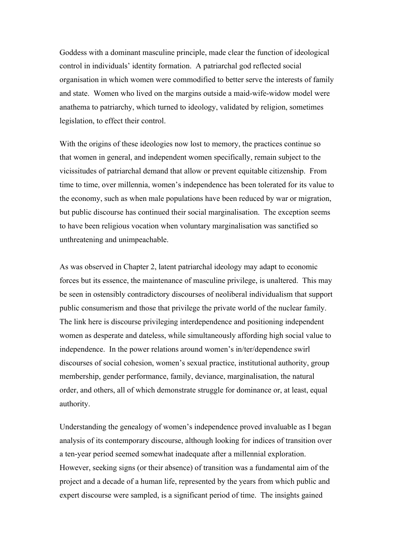Goddess with a dominant masculine principle, made clear the function of ideological control in individuals' identity formation. A patriarchal god reflected social organisation in which women were commodified to better serve the interests of family and state. Women who lived on the margins outside a maid-wife-widow model were anathema to patriarchy, which turned to ideology, validated by religion, sometimes legislation, to effect their control.

With the origins of these ideologies now lost to memory, the practices continue so that women in general, and independent women specifically, remain subject to the vicissitudes of patriarchal demand that allow or prevent equitable citizenship. From time to time, over millennia, women's independence has been tolerated for its value to the economy, such as when male populations have been reduced by war or migration, but public discourse has continued their social marginalisation. The exception seems to have been religious vocation when voluntary marginalisation was sanctified so unthreatening and unimpeachable.

As was observed in Chapter 2, latent patriarchal ideology may adapt to economic forces but its essence, the maintenance of masculine privilege, is unaltered. This may be seen in ostensibly contradictory discourses of neoliberal individualism that support public consumerism and those that privilege the private world of the nuclear family. The link here is discourse privileging interdependence and positioning independent women as desperate and dateless, while simultaneously affording high social value to independence. In the power relations around women's in/ter/dependence swirl discourses of social cohesion, women's sexual practice, institutional authority, group membership, gender performance, family, deviance, marginalisation, the natural order, and others, all of which demonstrate struggle for dominance or, at least, equal authority.

Understanding the genealogy of women's independence proved invaluable as I began analysis of its contemporary discourse, although looking for indices of transition over a ten-year period seemed somewhat inadequate after a millennial exploration. However, seeking signs (or their absence) of transition was a fundamental aim of the project and a decade of a human life, represented by the years from which public and expert discourse were sampled, is a significant period of time. The insights gained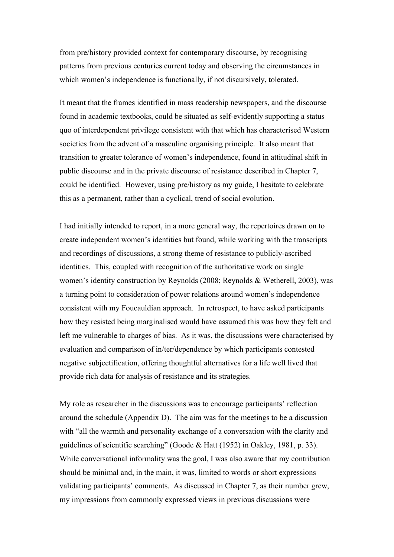from pre/history provided context for contemporary discourse, by recognising patterns from previous centuries current today and observing the circumstances in which women's independence is functionally, if not discursively, tolerated.

It meant that the frames identified in mass readership newspapers, and the discourse found in academic textbooks, could be situated as self-evidently supporting a status quo of interdependent privilege consistent with that which has characterised Western societies from the advent of a masculine organising principle. It also meant that transition to greater tolerance of women's independence, found in attitudinal shift in public discourse and in the private discourse of resistance described in Chapter 7, could be identified. However, using pre/history as my guide, I hesitate to celebrate this as a permanent, rather than a cyclical, trend of social evolution.

I had initially intended to report, in a more general way, the repertoires drawn on to create independent women's identities but found, while working with the transcripts and recordings of discussions, a strong theme of resistance to publicly-ascribed identities. This, coupled with recognition of the authoritative work on single women's identity construction by Reynolds (2008; Reynolds & Wetherell, 2003), was a turning point to consideration of power relations around women's independence consistent with my Foucauldian approach. In retrospect, to have asked participants how they resisted being marginalised would have assumed this was how they felt and left me vulnerable to charges of bias. As it was, the discussions were characterised by evaluation and comparison of in/ter/dependence by which participants contested negative subjectification, offering thoughtful alternatives for a life well lived that provide rich data for analysis of resistance and its strategies.

My role as researcher in the discussions was to encourage participants' reflection around the schedule (Appendix D). The aim was for the meetings to be a discussion with "all the warmth and personality exchange of a conversation with the clarity and guidelines of scientific searching" (Goode & Hatt (1952) in Oakley, 1981, p. 33). While conversational informality was the goal, I was also aware that my contribution should be minimal and, in the main, it was, limited to words or short expressions validating participants' comments. As discussed in Chapter 7, as their number grew, my impressions from commonly expressed views in previous discussions were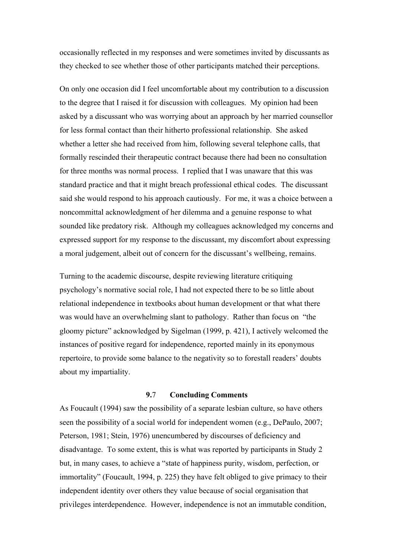occasionally reflected in my responses and were sometimes invited by discussants as they checked to see whether those of other participants matched their perceptions.

On only one occasion did I feel uncomfortable about my contribution to a discussion to the degree that I raised it for discussion with colleagues. My opinion had been asked by a discussant who was worrying about an approach by her married counsellor for less formal contact than their hitherto professional relationship. She asked whether a letter she had received from him, following several telephone calls, that formally rescinded their therapeutic contract because there had been no consultation for three months was normal process. I replied that I was unaware that this was standard practice and that it might breach professional ethical codes. The discussant said she would respond to his approach cautiously. For me, it was a choice between a noncommittal acknowledgment of her dilemma and a genuine response to what sounded like predatory risk. Although my colleagues acknowledged my concerns and expressed support for my response to the discussant, my discomfort about expressing a moral judgement, albeit out of concern for the discussant's wellbeing, remains.

Turning to the academic discourse, despite reviewing literature critiquing psychology's normative social role, I had not expected there to be so little about relational independence in textbooks about human development or that what there was would have an overwhelming slant to pathology. Rather than focus on "the gloomy picture" acknowledged by Sigelman (1999, p. 421), I actively welcomed the instances of positive regard for independence, reported mainly in its eponymous repertoire, to provide some balance to the negativity so to forestall readers' doubts about my impartiality.

## **9.**7 **Concluding Comments**

As Foucault (1994) saw the possibility of a separate lesbian culture, so have others seen the possibility of a social world for independent women (e.g., DePaulo, 2007; Peterson, 1981; Stein, 1976) unencumbered by discourses of deficiency and disadvantage. To some extent, this is what was reported by participants in Study 2 but, in many cases, to achieve a "state of happiness purity, wisdom, perfection, or immortality" (Foucault, 1994, p. 225) they have felt obliged to give primacy to their independent identity over others they value because of social organisation that privileges interdependence. However, independence is not an immutable condition,